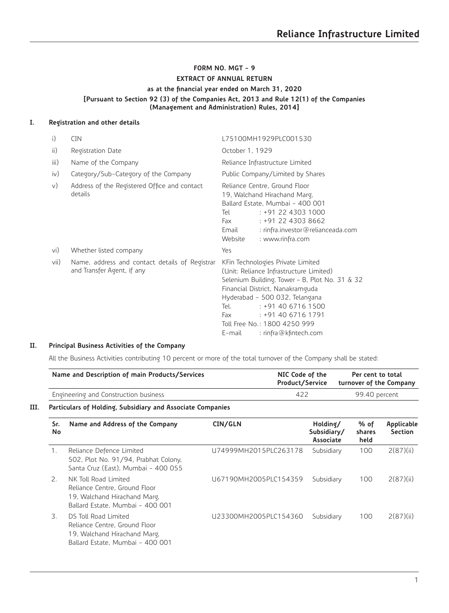# **FORM NO. MGT - 9 EXTRACT OF ANNUAL RETURN as at the financial year ended on March 31, 2020 [Pursuant to Section 92 (3) of the Companies Act, 2013 and Rule 12(1) of the Companies (Management and Administration) Rules, 2014]**

# **I. Registration and other details**

| i)     | <b>CIN</b>                                                                   | L75100MH1929PLC001530                                                                                                                                                                                                                                                                                                            |
|--------|------------------------------------------------------------------------------|----------------------------------------------------------------------------------------------------------------------------------------------------------------------------------------------------------------------------------------------------------------------------------------------------------------------------------|
| ii)    | Registration Date                                                            | October 1, 1929                                                                                                                                                                                                                                                                                                                  |
| iii)   | Name of the Company                                                          | Reliance Infrastructure Limited                                                                                                                                                                                                                                                                                                  |
| iv)    | Category/Sub-Category of the Company                                         | Public Company/Limited by Shares                                                                                                                                                                                                                                                                                                 |
| $\vee$ | Address of the Registered Office and contact<br>details                      | Reliance Centre, Ground Floor<br>19, Walchand Hirachand Marg,<br>Ballard Estate, Mumbai - 400 001<br>: +91 22 4303 1000<br>Tel<br>$: +912243038662$<br>Fax<br>: rinfra.investor@relianceada.com<br>Email<br>Website<br>: www.rinfra.com                                                                                          |
| vi)    | Whether listed company                                                       | Yes                                                                                                                                                                                                                                                                                                                              |
| vii)   | Name, address and contact details of Registrar<br>and Transfer Agent, if any | KFin Technologies Private Limited<br>(Unit: Reliance Infrastructure Limited)<br>Selenium Building, Tower - B, Plot No. 31 & 32<br>Financial District, Nanakramguda<br>Hyderabad - 500 032, Telangana<br>$: +914067161500$<br>Tel.<br>$: +914067161791$<br>Fax<br>Toll Free No.: 1800 4250 999<br>: rinfra@kfintech.com<br>E-mail |

# **II. Principal Business Activities of the Company**

All the Business Activities contributing 10 percent or more of the total turnover of the Company shall be stated:

| Name and Description of main Products/Services                    | NIC Code of the<br>Product/Service | Per cent to total<br>turnover of the Company |
|-------------------------------------------------------------------|------------------------------------|----------------------------------------------|
| Engineering and Construction business                             | 422                                | 99.40 percent                                |
| <b>Darticulars of Holding, Subsidiary and Besociate Companies</b> |                                    |                                              |

# **III. Particulars of Holding, Subsidiary and Associate Companies**

| Sr.<br>No | Name and Address of the Company                                                                                           | CIN/GLN                | Holding/<br>Subsidiary/<br>Associate | % of<br>shares<br>held | Applicable<br>Section |
|-----------|---------------------------------------------------------------------------------------------------------------------------|------------------------|--------------------------------------|------------------------|-----------------------|
| 1.        | Reliance Defence Limited<br>502, Plot No. 91/94, Prabhat Colony,<br>Santa Cruz (East), Mumbai - 400 055                   | LI74999MH2015PLC263178 | Subsidiary                           | 100                    | 2(87)(ii)             |
| 2.        | NK Toll Road Limited<br>Reliance Centre, Ground Floor<br>19, Walchand Hirachand Marg,<br>Ballard Estate, Mumbai - 400 001 | LI67190MH2005PLC154359 | Subsidiary                           | 100                    | 2(87)(ii)             |
| 3.        | DS Toll Road Limited<br>Reliance Centre, Ground Floor<br>19, Walchand Hirachand Marg,<br>Ballard Estate, Mumbai - 400 001 | U23300MH2005PLC154360  | Subsidiary                           | 100                    | 2(87)(ii)             |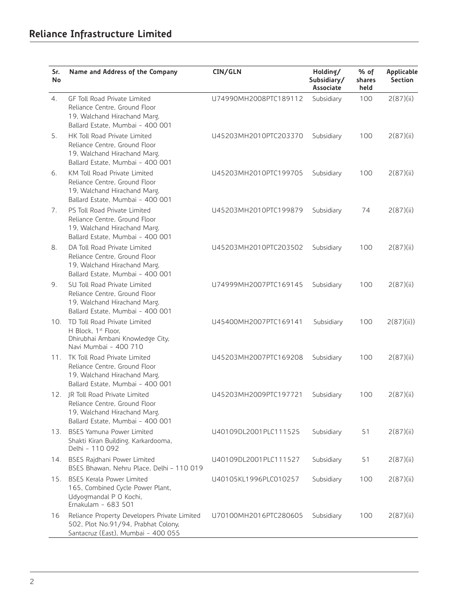| Sr.<br>No | Name and Address of the Company                                                                                                   | CIN/GLN               | Holding/<br>Subsidiary/<br>Associate | % of<br>shares<br>held | Applicable<br>Section |
|-----------|-----------------------------------------------------------------------------------------------------------------------------------|-----------------------|--------------------------------------|------------------------|-----------------------|
| 4.        | GF Toll Road Private Limited<br>Reliance Centre, Ground Floor<br>19, Walchand Hirachand Marg,<br>Ballard Estate, Mumbai - 400 001 | U74990MH2008PTC189112 | Subsidiary                           | 100                    | 2(87)(ii)             |
| 5.        | HK Toll Road Private Limited<br>Reliance Centre, Ground Floor<br>19, Walchand Hirachand Marg,<br>Ballard Estate, Mumbai - 400 001 | U45203MH2010PTC203370 | Subsidiary                           | 100                    | 2(87)(ii)             |
| 6.        | KM Toll Road Private Limited<br>Reliance Centre, Ground Floor<br>19, Walchand Hirachand Marg,<br>Ballard Estate, Mumbai - 400 001 | U45203MH2010PTC199705 | Subsidiary                           | 100                    | 2(87)(ii)             |
| 7.        | PS Toll Road Private Limited<br>Reliance Centre, Ground Floor<br>19, Walchand Hirachand Marg,<br>Ballard Estate, Mumbai - 400 001 | U45203MH2010PTC199879 | Subsidiary                           | 74                     | 2(87)(ii)             |
| 8.        | DA Toll Road Private Limited<br>Reliance Centre, Ground Floor<br>19, Walchand Hirachand Marg,<br>Ballard Estate, Mumbai - 400 001 | U45203MH2010PTC203502 | Subsidiary                           | 100                    | 2(87)(ii)             |
| 9.        | SU Toll Road Private Limited<br>Reliance Centre, Ground Floor<br>19, Walchand Hirachand Marg,<br>Ballard Estate, Mumbai - 400 001 | U74999MH2007PTC169145 | Subsidiary                           | 100                    | 2(87)(ii)             |
| 10.       | TD Toll Road Private Limited<br>H Block, 1 <sup>st</sup> Floor,<br>Dhirubhai Ambani Knowledge City,<br>Navi Mumbai - 400 710      | U45400MH2007PTC169141 | Subsidiary                           | 100                    | 2(87)(ii)             |
| 11.       | TK Toll Road Private Limited<br>Reliance Centre, Ground Floor<br>19, Walchand Hirachand Marg,<br>Ballard Estate, Mumbai - 400 001 | U45203MH2007PTC169208 | Subsidiary                           | 100                    | 2(87)(ii)             |
| 12.       | JR Toll Road Private Limited<br>Reliance Centre, Ground Floor<br>19, Walchand Hirachand Marg,<br>Ballard Estate, Mumbai - 400 001 | U45203MH2009PTC197721 | Subsidiary                           | 100                    | 2(87)(ii)             |
| 13.       | <b>BSES Yamuna Power Limited</b><br>Shakti Kiran Building, Karkardooma,<br>Delhi - 110 092                                        | U40109DL2001PLC111525 | Subsidiary                           | 51                     | 2(87)(ii)             |
| 14.       | BSES Rajdhani Power Limited<br>BSES Bhawan, Nehru Place, Delhi - 110 019                                                          | U40109DL2001PLC111527 | Subsidiary                           | 51                     | 2(87)(ii)             |
| 15.       | <b>BSES Kerala Power Limited</b><br>165, Combined Cycle Power Plant,<br>Udyogmandal P O Kochi,<br>Ernakulam - 683 501             | U40105KL1996PLC010257 | Subsidiary                           | 100                    | 2(87)(ii)             |
| 16        | Reliance Property Developers Private Limited<br>502, Plot No.91/94, Prabhat Colony,<br>Santacruz (East), Mumbai - 400 055         | U70100MH2016PTC280605 | Subsidiary                           | 100                    | 2(87)(ii)             |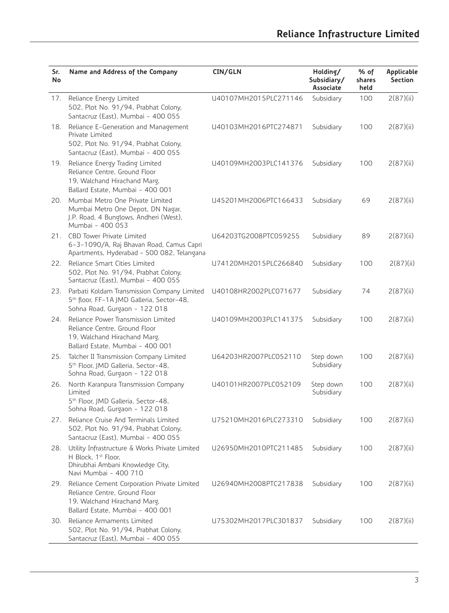| Sr.<br>No | Name and Address of the Company                                                                                                                  | CIN/GLN               | Holding/<br>Subsidiary/<br>Associate | % of<br>shares<br>held | Applicable<br>Section |
|-----------|--------------------------------------------------------------------------------------------------------------------------------------------------|-----------------------|--------------------------------------|------------------------|-----------------------|
| 17.       | Reliance Energy Limited<br>502, Plot No. 91/94, Prabhat Colony,<br>Santacruz (East), Mumbai - 400 055                                            | U40107MH2015PLC271146 | Subsidiary                           | 100                    | 2(87)(ii)             |
| 18.       | Reliance E-Generation and Management<br>Private Limited<br>502, Plot No. 91/94, Prabhat Colony,<br>Santacruz (East), Mumbai - 400 055            | U40103MH2016PTC274871 | Subsidiary                           | 100                    | 2(87)(ii)             |
| 19.       | Reliance Energy Trading Limited<br>Reliance Centre, Ground Floor<br>19, Walchand Hirachand Marg,<br>Ballard Estate, Mumbai - 400 001             | U40109MH2003PLC141376 | Subsidiary                           | 100                    | 2(87)(ii)             |
| 20.       | Mumbai Metro One Private Limited<br>Mumbai Metro One Depot, DN Nagar,<br>J.P. Road, 4 Bunglows, Andheri (West),<br>Mumbai - 400 053              | U45201MH2006PTC166433 | Subsidiary                           | 69                     | 2(87)(ii)             |
| 21.       | <b>CBD Tower Private Limited</b><br>6-3-1090/A, Raj Bhavan Road, Camus Capri<br>Apartments, Hyderabad - 500 082, Telangana                       | U64203TG2008PTC059255 | Subsidiary                           | 89                     | 2(87)(ii)             |
| 22.       | Reliance Smart Cities Limited<br>502, Plot No. 91/94, Prabhat Colony,<br>Santacruz (East), Mumbai - 400 055                                      | U74120MH2015PLC266840 | Subsidiary                           | 100                    | 2(87)(ii)             |
| 23.       | Parbati Koldam Transmission Company Limited<br>5 <sup>th</sup> floor, FF-1A JMD Galleria, Sector-48,<br>Sohna Road, Gurgaon - 122 018            | U40108HR2002PLC071677 | Subsidiary                           | 74                     | 2(87)(ii)             |
| 24.       | Reliance Power Transmission Limited<br>Reliance Centre, Ground Floor<br>19, Walchand Hirachand Marg,<br>Ballard Estate, Mumbai - 400 001         | U40109MH2003PLC141375 | Subsidiary                           | 100                    | 2(87)(ii)             |
| 25.       | Talcher II Transmission Company Limited<br>5 <sup>th</sup> Floor, JMD Galleria, Sector-48,<br>Sohna Road, Gurgaon - 122 018                      | U64203HR2007PLC052110 | Step down<br>Subsidiary              | 100                    | 2(87)(ii)             |
| 26.       | North Karanpura Transmission Company<br>Limited<br>5 <sup>th</sup> Floor, JMD Galleria, Sector-48,<br>Sohna Road, Gurgaon - 122 018              | U40101HR2007PLC052109 | Step down<br>Subsidiary              | 100                    | 2(87)(ii)             |
| 27.       | Reliance Cruise And Terminals Limited<br>502, Plot No. 91/94, Prabhat Colony,<br>Santacruz (East), Mumbai - 400 055                              | U75210MH2016PLC273310 | Subsidiary                           | 100                    | 2(87)(ii)             |
| 28.       | Utility Infrastructure & Works Private Limited<br>H Block, 1st Floor,<br>Dhirubhai Ambani Knowledge City,<br>Navi Mumbai - 400 710               | U26950MH2010PTC211485 | Subsidiary                           | 100                    | 2(87)(ii)             |
| 29.       | Reliance Cement Corporation Private Limited<br>Reliance Centre, Ground Floor<br>19, Walchand Hirachand Marg,<br>Ballard Estate, Mumbai - 400 001 | U26940MH2008PTC217838 | Subsidiary                           | 100                    | 2(87)(ii)             |
| 30.       | Reliance Armaments Limited<br>502, Plot No. 91/94, Prabhat Colony,<br>Santacruz (East), Mumbai - 400 055                                         | U75302MH2017PLC301837 | Subsidiary                           | 100                    | 2(87)(ii)             |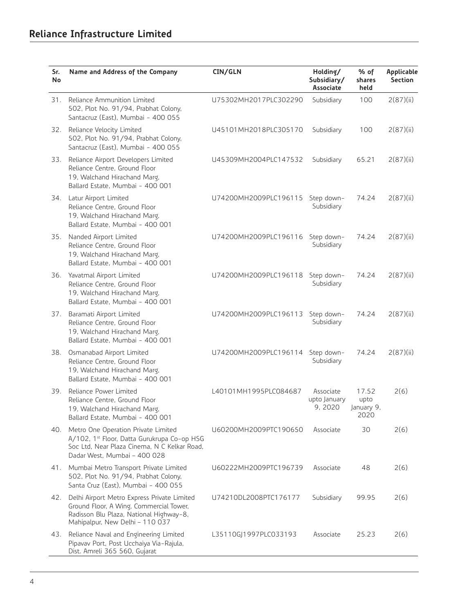| Sr.<br>No | Name and Address of the Company                                                                                                                                      | CIN/GLN               | Holding/<br>Subsidiary/<br>Associate | % of<br>shares<br>held              | Applicable<br>Section |
|-----------|----------------------------------------------------------------------------------------------------------------------------------------------------------------------|-----------------------|--------------------------------------|-------------------------------------|-----------------------|
| 31.       | Reliance Ammunition Limited<br>502, Plot No. 91/94, Prabhat Colony,<br>Santacruz (East), Mumbai - 400 055                                                            | U75302MH2017PLC302290 | Subsidiary                           | 100                                 | 2(87)(ii)             |
| 32.       | Reliance Velocity Limited<br>502, Plot No. 91/94, Prabhat Colony,<br>Santacruz (East), Mumbai - 400 055                                                              | U45101MH2018PLC305170 | Subsidiary                           | 100                                 | 2(87)(ii)             |
| 33.       | Reliance Airport Developers Limited<br>Reliance Centre, Ground Floor<br>19, Walchand Hirachand Marg,<br>Ballard Estate, Mumbai - 400 001                             | U45309MH2004PLC147532 | Subsidiary                           | 65.21                               | 2(87)(ii)             |
|           | 34. Latur Airport Limited<br>Reliance Centre, Ground Floor<br>19, Walchand Hirachand Marg,<br>Ballard Estate, Mumbai - 400 001                                       | U74200MH2009PLC196115 | Step down-<br>Subsidiary             | 74.24                               | 2(87)(ii)             |
| 35.       | Nanded Airport Limited<br>Reliance Centre, Ground Floor<br>19, Walchand Hirachand Marg,<br>Ballard Estate, Mumbai - 400 001                                          | U74200MH2009PLC196116 | Step down-<br>Subsidiary             | 74.24                               | 2(87)(ii)             |
| 36.       | Yavatmal Airport Limited<br>Reliance Centre, Ground Floor<br>19, Walchand Hirachand Marg,<br>Ballard Estate, Mumbai - 400 001                                        | U74200MH2009PLC196118 | Step down-<br>Subsidiary             | 74.24                               | 2(87)(ii)             |
| 37.       | Baramati Airport Limited<br>Reliance Centre, Ground Floor<br>19, Walchand Hirachand Marg,<br>Ballard Estate, Mumbai - 400 001                                        | U74200MH2009PLC196113 | Step down-<br>Subsidiary             | 74.24                               | 2(87)(ii)             |
| 38.       | Osmanabad Airport Limited<br>Reliance Centre, Ground Floor<br>19, Walchand Hirachand Marg,<br>Ballard Estate, Mumbai - 400 001                                       | U74200MH2009PLC196114 | Step down-<br>Subsidiary             | 74.24                               | 2(87)(ii)             |
| 39.       | Reliance Power Limited<br>Reliance Centre, Ground Floor<br>19, Walchand Hirachand Marg,<br>Ballard Estate, Mumbai - 400 001                                          | L40101MH1995PLC084687 | Associate<br>upto January<br>9,2020  | 17.52<br>upto<br>January 9,<br>2020 | 2(6)                  |
| 40.       | Metro One Operation Private Limited<br>A/102, 1st Floor, Datta Gurukrupa Co-op HSG<br>Soc Ltd, Near Plaza Cinema, N C Kelkar Road,<br>Dadar West, Mumbai - 400 028   | U60200MH2009PTC190650 | Associate                            | 30                                  | 2(6)                  |
|           | 41. Mumbai Metro Transport Private Limited<br>502, Plot No. 91/94, Prabhat Colony,<br>Santa Cruz (East), Mumbai - 400 055                                            | U60222MH2009PTC196739 | Associate                            | 48                                  | 2(6)                  |
| 42.       | Delhi Airport Metro Express Private Limited<br>Ground Floor, A Wing, Commercial Tower,<br>Radisson Blu Plaza, National Highway-8,<br>Mahipalpur, New Delhi - 110 037 | U74210DL2008PTC176177 | Subsidiary                           | 99.95                               | 2(6)                  |
| 43.       | Reliance Naval and Engineering Limited<br>Pipavav Port, Post Ucchaiya Via-Rajula,<br>Dist. Amreli 365 560, Gujarat                                                   | L35110GJ1997PLC033193 | Associate                            | 25.23                               | 2(6)                  |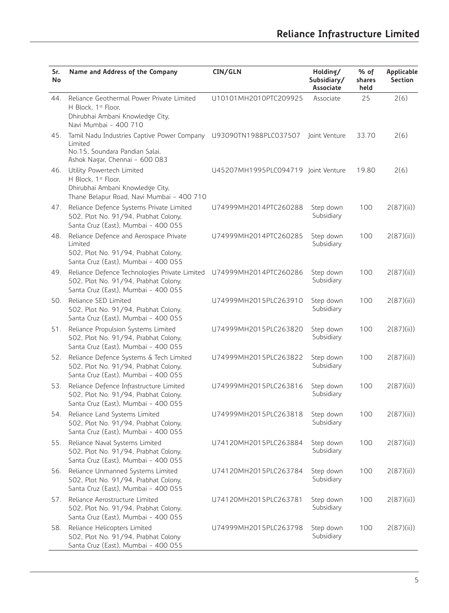| Sr.<br>No | Name and Address of the Company                                                                                                                  | CIN/GLN                             | Holding/<br>Subsidiary/<br><b>Associate</b> | % of<br>shares<br>held | <b>Applicable</b><br>Section |
|-----------|--------------------------------------------------------------------------------------------------------------------------------------------------|-------------------------------------|---------------------------------------------|------------------------|------------------------------|
| 44.       | Reliance Geothermal Power Private Limited<br>H Block, 1st Floor,<br>Dhirubhai Ambani Knowledge City,<br>Navi Mumbai - 400 710                    | U10101MH2010PTC209925               | Associate                                   | 25                     | 2(6)                         |
| 45.       | Tamil Nadu Industries Captive Power Company U93090TN1988PLC037507<br>Limited<br>No.15, Soundara Pandian Salai,<br>Ashok Nagar, Chennai - 600 083 |                                     | Joint Venture                               | 33.70                  | 2(6)                         |
| 46.       | Utility Powertech Limited<br>H Block, 1st Floor,<br>Dhirubhai Ambani Knowledge City,<br>Thane Belapur Road, Navi Mumbai - 400 710                | U45207MH1995PLC094719 Joint Venture |                                             | 19.80                  | 2(6)                         |
| 47.       | Reliance Defence Systems Private Limited<br>502, Plot No. 91/94, Prabhat Colony,<br>Santa Cruz (East), Mumbai - 400 055                          | U74999MH2014PTC260288               | Step down<br>Subsidiary                     | 100                    | 2(87)(ii)                    |
| 48.       | Reliance Defence and Aerospace Private<br>Limited<br>502, Plot No. 91/94, Prabhat Colony,<br>Santa Cruz (East), Mumbai - 400 055                 | U74999MH2014PTC260285               | Step down<br>Subsidiary                     | 100                    | 2(87)(ii)                    |
| 49.       | Reliance Defence Technologies Private Limited<br>502, Plot No. 91/94, Prabhat Colony,<br>Santa Cruz (East), Mumbai - 400 055                     | U74999MH2014PTC260286               | Step down<br>Subsidiary                     | 100                    | 2(87)(ii)                    |
| 50.       | Reliance SED Limited<br>502, Plot No. 91/94, Prabhat Colony,<br>Santa Cruz (East), Mumbai - 400 055                                              | U74999MH2015PLC263910               | Step down<br>Subsidiary                     | 100                    | 2(87)(ii)                    |
| 51.       | Reliance Propulsion Systems Limited<br>502, Plot No. 91/94, Prabhat Colony,<br>Santa Cruz (East), Mumbai - 400 055                               | U74999MH2015PLC263820               | Step down<br>Subsidiary                     | 100                    | 2(87)(ii)                    |
| 52.       | Reliance Defence Systems & Tech Limited<br>502, Plot No. 91/94, Prabhat Colony,<br>Santa Cruz (East), Mumbai - 400 055                           | U74999MH2015PLC263822               | Step down<br>Subsidiary                     | 100                    | 2(87)(ii)                    |
| 53.       | Reliance Defence Infrastructure Limited<br>502, Plot No. 91/94, Prabhat Colony,<br>Santa Cruz (East), Mumbai - 400 055                           | U74999MH2015PLC263816               | Step down<br>Subsidiary                     | 100                    | 2(87)(ii)                    |
|           | 54. Reliance Land Systems Limited<br>502, Plot No. 91/94, Prabhat Colony,<br>Santa Cruz (East), Mumbai - 400 055                                 | U74999MH2015PLC263818               | Step down<br>Subsidiary                     | 100                    | 2(87)(ii)                    |
|           | 55. Reliance Naval Systems Limited<br>502, Plot No. 91/94, Prabhat Colony,<br>Santa Cruz (East), Mumbai - 400 055                                | U74120MH2015PLC263884               | Step down<br>Subsidiary                     | 100                    | 2(87)(ii)                    |
| 56.       | Reliance Unmanned Systems Limited<br>502, Plot No. 91/94, Prabhat Colony,<br>Santa Cruz (East), Mumbai - 400 055                                 | U74120MH2015PLC263784               | Step down<br>Subsidiary                     | 100                    | 2(87)(ii)                    |
| 57.       | Reliance Aerostructure Limited<br>502, Plot No. 91/94, Prabhat Colony,<br>Santa Cruz (East), Mumbai - 400 055                                    | U74120MH2015PLC263781               | Step down<br>Subsidiary                     | 100                    | 2(87)(ii)                    |
| 58.       | Reliance Helicopters Limited<br>502, Plot No. 91/94, Prabhat Colony<br>Santa Cruz (East), Mumbai - 400 055                                       | U74999MH2015PLC263798               | Step down<br>Subsidiary                     | 100                    | 2(87)(ii)                    |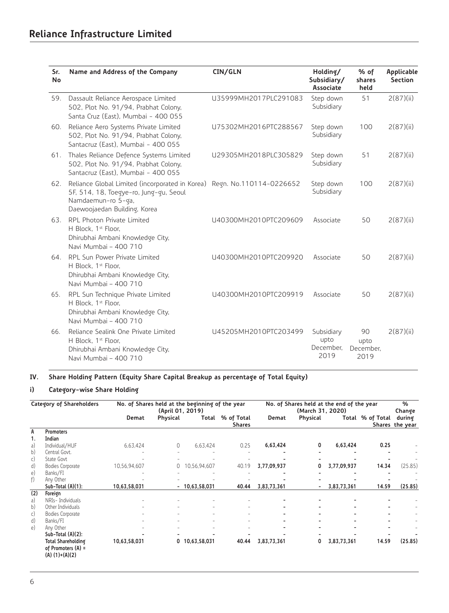| Sr.<br>No | Name and Address of the Company                                                                                                                                         | CIN/GLN                | Holding/<br>Subsidiary/<br><b>Associate</b> | % of<br>shares<br>held          | Applicable<br><b>Section</b> |
|-----------|-------------------------------------------------------------------------------------------------------------------------------------------------------------------------|------------------------|---------------------------------------------|---------------------------------|------------------------------|
| 59.       | Dassault Reliance Aerospace Limited<br>502, Plot No. 91/94, Prabhat Colony,<br>Santa Cruz (East), Mumbai - 400 055                                                      | U35999MH2017PLC291083  | Step down<br>Subsidiary                     | 51                              | 2(87)(ii)                    |
| 60.       | Reliance Aero Systems Private Limited<br>502, Plot No. 91/94, Prabhat Colony,<br>Santacruz (East), Mumbai - 400 055                                                     | U75302MH2016PTC288567  | Step down<br>Subsidiary                     | 100                             | 2(87)(ii)                    |
| 61.       | Thales Reliance Defence Systems Limited<br>502, Plot No. 91/94, Prabhat Colony,<br>Santacruz (East), Mumbai - 400 055                                                   | U29305MH2018PLC305829  | Step down<br>Subsidiary                     | 51                              | 2(87)(ii)                    |
| 62.       | Reliance Global Limited (incorporated in Korea) Regn. No.110114-0226652<br>5F, 514, 18, Toegye-ro, Jung-gu, Seoul<br>Namdaemun-ro 5-ga,<br>Daewoojaedan Building, Korea |                        | Step down<br>Subsidiary                     | 100                             | 2(87)(ii)                    |
| 63.       | RPL Photon Private Limited<br>H Block. 1 <sup>st</sup> Floor.<br>Dhirubhai Ambani Knowledge City,<br>Navi Mumbai - 400 710                                              | U40300MH2010PTC209609  | Associate                                   | 50                              | 2(87)(ii)                    |
| 64.       | <b>RPL Sun Power Private Limited</b><br>H Block, 1 <sup>st</sup> Floor,<br>Dhirubhai Ambani Knowledge City,<br>Navi Mumbai - 400 710                                    | LI40300MH2010PTC209920 | Associate                                   | 50                              | 2(87)(ii)                    |
| 65.       | RPL Sun Technique Private Limited<br>H Block. 1 <sup>st</sup> Floor.<br>Dhirubhai Ambani Knowledge City,<br>Navi Mumbai - 400 710                                       | U40300MH2010PTC209919  | Associate                                   | 50                              | 2(87)(ii)                    |
| 66.       | Reliance Sealink One Private Limited<br>H Block, 1st Floor,<br>Dhirubhai Ambani Knowledge City,<br>Navi Mumbai - 400 710                                                | U45205MH2010PTC203499  | Subsidiary<br>upto<br>December.<br>2019     | 90<br>upto<br>December.<br>2019 | 2(87)(ii)                    |

# **IV. Share Holding Pattern (Equity Share Capital Breakup as percentage of Total Equity)**

# **i) Category-wise Share Holding**

| Category of Shareholders |                           |              | (April 01, 2019)         | No. of Shares held at the beginning of the year |                             | No. of Shares held at the end of the year<br>(March 31, 2020) |          |             |                  | %<br>Change               |
|--------------------------|---------------------------|--------------|--------------------------|-------------------------------------------------|-----------------------------|---------------------------------------------------------------|----------|-------------|------------------|---------------------------|
|                          |                           | Demat        | Physical                 | Total                                           | % of Total<br><b>Shares</b> | Demat                                                         | Physical |             | Total % of Total | during<br>Shares the year |
| A                        | <b>Promoters</b>          |              |                          |                                                 |                             |                                                               |          |             |                  |                           |
| 1 <sub>1</sub>           | Indian                    |              |                          |                                                 |                             |                                                               |          |             |                  |                           |
| a)                       | Individual/HUF            | 6,63,424     | 0                        | 6.63.424                                        | 0.25                        | 6,63,424                                                      | 0        | 6,63,424    | 0.25             |                           |
| b)                       | Central Govt.             |              | $\overline{\phantom{m}}$ |                                                 |                             |                                                               |          |             |                  |                           |
| c)                       | State Govt                |              |                          |                                                 |                             |                                                               |          |             |                  |                           |
| d)                       | Bodies Corporate          | 10,56,94,607 | 0                        | 10,56,94,607                                    | 40.19                       | 3,77,09,937                                                   | 0        | 3,77,09,937 | 14.34            | (25.85)                   |
| $\epsilon$               | Banks/FI                  |              |                          |                                                 |                             |                                                               |          |             |                  |                           |
| f)                       | Any Other                 |              |                          |                                                 |                             |                                                               |          |             |                  |                           |
|                          | Sub-Total (A)(1):         | 10,63,58,031 |                          | $-10,63,58,031$                                 | 40.44                       | 3,83,73,361                                                   |          | 3,83,73,361 | 14.59            | (25.85)                   |
| (2)                      | Foreign                   |              |                          |                                                 |                             |                                                               |          |             |                  |                           |
| a)                       | NRIs- Individuals         |              |                          |                                                 |                             |                                                               |          |             |                  |                           |
| b)                       | Other Individuals         |              |                          |                                                 |                             |                                                               |          |             |                  |                           |
| $\mathsf{c})$            | Bodies Corporate          |              |                          |                                                 |                             |                                                               |          |             |                  |                           |
| d)                       | Banks/FI                  |              |                          |                                                 |                             |                                                               |          |             |                  |                           |
| $\epsilon$               | Any Other                 |              | ٠                        |                                                 |                             |                                                               |          |             |                  |                           |
|                          | Sub-Total (A)(2):         |              |                          |                                                 |                             |                                                               |          |             |                  |                           |
|                          |                           |              |                          |                                                 |                             |                                                               |          |             |                  |                           |
|                          | <b>Total Shareholding</b> | 10,63,58,031 |                          | 0 10,63,58,031                                  | 40.44                       | 3,83,73,361                                                   | 0        | 3,83,73,361 | 14.59            | (25.85)                   |
|                          | of Promoters $(A)$ =      |              |                          |                                                 |                             |                                                               |          |             |                  |                           |
|                          | $(A) (1)+(A)(2)$          |              |                          |                                                 |                             |                                                               |          |             |                  |                           |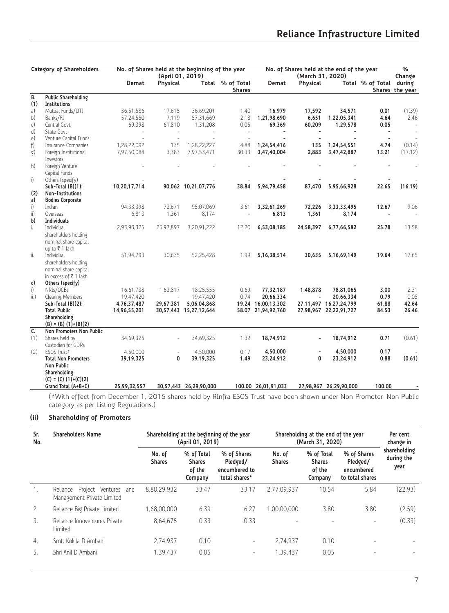|      | Category of Shareholders                      |                            |                              | No. of Shares held at the beginning of the year |                            | No. of Shares held at the end of the year |                              |                            | $\frac{9}{6}$           |                           |
|------|-----------------------------------------------|----------------------------|------------------------------|-------------------------------------------------|----------------------------|-------------------------------------------|------------------------------|----------------------------|-------------------------|---------------------------|
|      |                                               | Demat                      | (April 01, 2019)<br>Physical |                                                 | Total % of Total<br>Shares | Demat                                     | (March 31, 2020)<br>Physical |                            | Total % of Total during | Change<br>Shares the year |
| B.   | Public Shareholding                           |                            |                              |                                                 |                            |                                           |                              |                            |                         |                           |
| (1)  | Institutions                                  |                            |                              |                                                 |                            |                                           |                              |                            |                         |                           |
| a)   | Mutual Funds/UTI                              | 36.51.586                  | 17.615                       | 36,69,201                                       | 1.40                       | 16,979                                    | 17.592                       | 34,571                     | 0.01                    | (1.39)                    |
| b)   | Banks/FI                                      | 57,24,550                  | 7.119                        | 57,31,669                                       | 2.18                       | 1,21,98,690                               | 6.651                        | 1,22,05,341                | 4.64                    | 2.46                      |
| c)   | Central Govt.                                 | 69,398                     | 61,810                       | 1,31,208                                        | 0.05                       | 69,369                                    | 60,209                       | 1,29,578                   | 0.05                    | $\sim$                    |
| d)   | State Govt                                    | $\sim$                     | $\sim$                       |                                                 | $\overline{\phantom{a}}$   |                                           | $\blacksquare$               |                            | $\blacksquare$          |                           |
| e)   | Venture Capital Funds                         |                            | $\sim$                       |                                                 | $\sim$                     |                                           |                              |                            | $\blacksquare$          |                           |
| f)   | Insurance Companies                           | 1,28,22,092<br>7,97,50,088 | 135<br>3,383                 | 1,28,22,227<br>7,97,53,471                      | 4.88<br>30.33              | 1,24,54,416<br>3,47,40,004                | 135<br>2,883                 | 1,24,54,551<br>3,47,42,887 | 4.74<br>13.21           | (0.14)<br>(17.12)         |
| g)   | Foreign Institutional<br>Investors            |                            |                              |                                                 |                            |                                           |                              |                            |                         |                           |
| h)   | Foreign Venture                               |                            |                              |                                                 |                            |                                           |                              |                            |                         |                           |
|      | Capital Funds                                 |                            |                              |                                                 |                            |                                           |                              |                            |                         |                           |
| i)   | Others (specify)                              |                            |                              |                                                 |                            |                                           |                              |                            |                         |                           |
|      | Sub-Total (B)(1):                             | 10,20,17,714               |                              | 90,062 10,21,07,776                             | 38.84                      | 5,94,79,458                               | 87.470                       | 5,95,66,928                | 22.65                   | (16.19)                   |
| (2)  | Non-Institutions                              |                            |                              |                                                 |                            |                                           |                              |                            |                         |                           |
| a)   | <b>Bodies Corporate</b>                       |                            |                              |                                                 |                            |                                           |                              |                            |                         |                           |
| i)   | Indian                                        | 94,33,398                  | 73,671                       | 95,07,069                                       | 3.61                       | 3,32,61,269                               | 72,226                       | 3, 33, 33, 495             | 12.67                   | 9.06                      |
| ii)  | Overseas                                      | 6.813                      | 1.361                        | 8.174                                           |                            | 6,813                                     | 1,361                        | 8,174                      |                         |                           |
| b)   | <b>Individuals</b>                            |                            |                              |                                                 |                            |                                           |                              |                            |                         |                           |
| i.   | Individual                                    | 2,93,93,325                | 26,97,897                    | 3,20,91,222                                     | 12.20                      | 6,53,08,185                               | 24,58,397                    | 6,77,66,582                | 25.78                   | 13.58                     |
|      | shareholders holding                          |                            |                              |                                                 |                            |                                           |                              |                            |                         |                           |
|      | nominal share capital                         |                            |                              |                                                 |                            |                                           |                              |                            |                         |                           |
| ï.   | up to ₹1 lakh.                                |                            |                              |                                                 |                            |                                           |                              |                            |                         | 17.65                     |
|      | Individual                                    | 51,94,793                  | 30.635                       | 52,25,428                                       | 1.99                       | 5, 16, 38, 514                            | 30,635                       | 5,16,69,149                | 19.64                   |                           |
|      | shareholders holding<br>nominal share capital |                            |                              |                                                 |                            |                                           |                              |                            |                         |                           |
|      | in excess of $\overline{\tau}$ 1 lakh.        |                            |                              |                                                 |                            |                                           |                              |                            |                         |                           |
| c)   | Others (specify)                              |                            |                              |                                                 |                            |                                           |                              |                            |                         |                           |
| i)   | NRIs/OCBs                                     | 16,61,738                  | 1,63,817                     | 18,25,555                                       | 0.69                       | 77,32,187                                 | 1,48,878                     | 78,81,065                  | 3.00                    | 2.31                      |
| ii.) | Clearing Members                              | 19.47.420                  | $\overline{\phantom{a}}$     | 19.47.420                                       | 0.74                       | 20,66,334                                 | $\overline{\phantom{a}}$     | 20,66,334                  | 0.79                    | 0.05                      |
|      | Sub-Total (B)(2):                             | 4,76,37,487                | 29,67,381                    | 5,06,04,868                                     |                            | 19.24 16,00,13,302                        |                              | 27,11,497 16,27,24,799     | 61.88                   | 42.64                     |
|      | <b>Total Public</b>                           | 14,96,55,201               |                              | 30,57,443 15,27,12,644                          |                            | 58.07 21,94,92,760                        |                              | 27,98,967 22,22,91,727     | 84.53                   | 26.46                     |
|      | Shareholding                                  |                            |                              |                                                 |                            |                                           |                              |                            |                         |                           |
|      | $(B) = (B) (1)+(B)(2)$                        |                            |                              |                                                 |                            |                                           |                              |                            |                         |                           |
| C.   | Non Promoters Non Public                      |                            |                              |                                                 |                            |                                           |                              |                            |                         |                           |
| (1)  | Shares held by                                | 34,69,325                  | $\overline{\phantom{a}}$     | 34,69,325                                       | 1.32                       | 18,74,912                                 |                              | 18,74,912                  | 0.71                    | (0.61)                    |
|      | Custodian for GDRs                            |                            |                              |                                                 |                            |                                           |                              |                            |                         |                           |
| (2)  | ESOS Trust*                                   | 4,50,000                   |                              | 4,50,000                                        | 0.17                       | 4.50.000                                  |                              | 4.50.000                   | 0.17                    |                           |
|      | <b>Total Non Promoters</b>                    | 39,19,325                  | 0                            | 39,19,325                                       | 1.49                       | 23,24,912                                 | 0                            | 23,24,912                  | 0.88                    | (0.61)                    |
|      | Non Public                                    |                            |                              |                                                 |                            |                                           |                              |                            |                         |                           |
|      | Shareholding<br>$(C) = (C) (1)+(C)(2)$        |                            |                              |                                                 |                            |                                           |                              |                            |                         |                           |
|      | Grand Total (A+B+C)                           | 25,99,32,557               |                              | 30,57,443 26,29,90,000                          |                            | 100.00 26,01,91,033                       |                              | 27,98,967 26,29,90,000     | 100.00                  |                           |
|      | $\sim$<br>1.1.1.1.1                           |                            | $\sim$ $\sim$ $\sim$ $\sim$  |                                                 | $= 0.00$                   |                                           |                              |                            |                         |                           |

(\*With effect from December 1, 2015 shares held by RInfra ESOS Trust have been shown under Non Promoter-Non Public category as per Listing Regulations.)

# **(ii) Shareholding of Promoters**

| <b>Shareholders Name</b><br>Sr.<br>No. |                                                                | Shareholding at the beginning of the year<br>(April 01, 2019) |                                                  |                                                           | Shareholding at the end of the year<br>(March 31, 2020) | Per cent<br>change in                            |                                                          |                                    |
|----------------------------------------|----------------------------------------------------------------|---------------------------------------------------------------|--------------------------------------------------|-----------------------------------------------------------|---------------------------------------------------------|--------------------------------------------------|----------------------------------------------------------|------------------------------------|
|                                        |                                                                | No. of<br><b>Shares</b>                                       | % of Total<br><b>Shares</b><br>of the<br>Company | % of Shares<br>Pledged/<br>encumbered to<br>total shares* | No. of<br><b>Shares</b>                                 | % of Total<br><b>Shares</b><br>of the<br>Company | % of Shares<br>Pledged/<br>encumbered<br>to total shares | shareholding<br>during the<br>year |
| 1.                                     | Project Ventures and<br>Reliance<br>Management Private Limited | 8.80.29.932                                                   | 33.47                                            | 33.17                                                     | 2.77.09.937                                             | 10.54                                            | 5.84                                                     | (22.93)                            |
| 2                                      | Reliance Big Private Limited                                   | 1.68.00.000                                                   | 6.39                                             | 6.27                                                      | 1.00.00.000                                             | 3.80                                             | 3.80                                                     | (2.59)                             |
| 3.                                     | Reliance Innoventures Private<br>Limited                       | 8.64.675                                                      | 0.33                                             | 0.33                                                      |                                                         |                                                  | -                                                        | (0.33)                             |
| 4.                                     | Smt. Kokila D Ambani                                           | 2.74.937                                                      | 0.10                                             | -                                                         | 2.74.937                                                | 0.10                                             | $\overline{\phantom{a}}$                                 |                                    |
| 5.                                     | Shri Anil D Ambani                                             | 1.39.437                                                      | 0.05                                             | $\overline{\phantom{0}}$                                  | 1.39.437                                                | 0.05                                             |                                                          |                                    |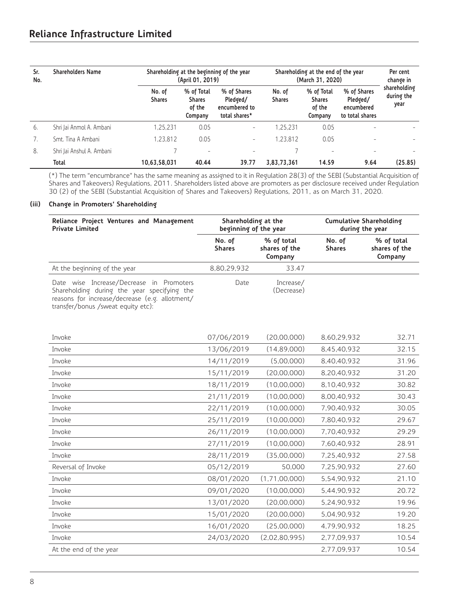| Sr.<br>No. | <b>Shareholders Name</b>  |                         | (April 01, 2019)                                 | Shareholding at the beginning of the year                 |                         | Shareholding at the end of the year<br>(March 31, 2020) | Per cent<br>change in                                    |                                    |
|------------|---------------------------|-------------------------|--------------------------------------------------|-----------------------------------------------------------|-------------------------|---------------------------------------------------------|----------------------------------------------------------|------------------------------------|
|            |                           | No. of<br><b>Shares</b> | % of Total<br><b>Shares</b><br>of the<br>Company | % of Shares<br>Pledged/<br>encumbered to<br>total shares* | No. of<br><b>Shares</b> | % of Total<br><b>Shares</b><br>of the<br>Company        | % of Shares<br>Pledged/<br>encumbered<br>to total shares | shareholding<br>during the<br>year |
| 6.         | Shri Jai Anmol A. Ambani  | 1,25,231                | 0.05                                             | $\overline{\phantom{a}}$                                  | 1.25.231                | 0.05                                                    | $\overline{\phantom{a}}$                                 |                                    |
|            | Smt. Tina A Ambani        | 1.23.812                | 0.05                                             | $\overline{\phantom{a}}$                                  | 1.23.812                | 0.05                                                    | $\overline{\phantom{a}}$                                 |                                    |
| 8.         | Shri Jai Anshul A. Ambani |                         | $\overline{\phantom{a}}$                         | $\overline{\phantom{a}}$                                  |                         | $\overline{\phantom{a}}$                                | $\overline{\phantom{a}}$                                 |                                    |
|            | <b>Total</b>              | 10,63,58,031            | 40.44                                            | 39.77                                                     | 3,83,73,361             | 14.59                                                   | 9.64                                                     | (25.85)                            |

(\*) The term "encumbrance" has the same meaning as assigned to it in Regulation 28(3) of the SEBI (Substantial Acquisition of Shares and Takeovers) Regulations, 2011. Shareholders listed above are promoters as per disclosure received under Regulation 30 (2) of the SEBI (Substantial Acquisition of Shares and Takeovers) Regulations, 2011, as on March 31, 2020.

# **(iii) Change in Promoters' Shareholding**

| Reliance Project Ventures and Management<br><b>Private Limited</b>                                                                                                              | Shareholding at the<br>beginning of the year |                                        | <b>Cumulative Shareholding</b><br>during the year |                                        |  |
|---------------------------------------------------------------------------------------------------------------------------------------------------------------------------------|----------------------------------------------|----------------------------------------|---------------------------------------------------|----------------------------------------|--|
|                                                                                                                                                                                 | No. of<br><b>Shares</b>                      | % of total<br>shares of the<br>Company | No. of<br><b>Shares</b>                           | % of total<br>shares of the<br>Company |  |
| At the beginning of the year                                                                                                                                                    | 8.80.29.932                                  | 33.47                                  |                                                   |                                        |  |
| Date wise Increase/Decrease in Promoters<br>Shareholding during the year specifying the<br>reasons for increase/decrease (e.g. allotment/<br>transfer/bonus /sweat equity etc): | Date                                         | Increase/<br>(Decrease)                |                                                   |                                        |  |

| Invoke                 | 07/06/2019 | (20,00,000)      | 8,60,29,932 | 32.71 |
|------------------------|------------|------------------|-------------|-------|
| Invoke                 | 13/06/2019 | (14,89,000)      | 8,45,40,932 | 32.15 |
| Invoke                 | 14/11/2019 | (5,00,000)       | 8,40,40,932 | 31.96 |
| Invoke                 | 15/11/2019 | (20,00,000)      | 8,20,40,932 | 31.20 |
| Invoke                 | 18/11/2019 | (10,00,000)      | 8,10,40,932 | 30.82 |
| Invoke                 | 21/11/2019 | (10,00,000)      | 8,00,40,932 | 30.43 |
| Invoke                 | 22/11/2019 | (10,00,000)      | 7,90,40,932 | 30.05 |
| Invoke                 | 25/11/2019 | (10,00,000)      | 7,80,40,932 | 29.67 |
| Invoke                 | 26/11/2019 | (10,00,000)      | 7,70,40,932 | 29.29 |
| Invoke                 | 27/11/2019 | (10,00,000)      | 7,60,40,932 | 28.91 |
| Invoke                 | 28/11/2019 | (35,00,000)      | 7,25,40,932 | 27.58 |
| Reversal of Invoke     | 05/12/2019 | 50,000           | 7,25,90,932 | 27.60 |
| Invoke                 | 08/01/2020 | (1, 71, 00, 000) | 5,54,90,932 | 21.10 |
| Invoke                 | 09/01/2020 | (10,00,000)      | 5,44,90,932 | 20.72 |
| Invoke                 | 13/01/2020 | (20,00,000)      | 5,24,90,932 | 19.96 |
| Invoke                 | 15/01/2020 | (20,00,000)      | 5,04,90,932 | 19.20 |
| Invoke                 | 16/01/2020 | (25,00,000)      | 4,79,90,932 | 18.25 |
| Invoke                 | 24/03/2020 | (2,02,80,995)    | 2,77,09,937 | 10.54 |
| At the end of the year |            |                  | 2,77,09,937 | 10.54 |
|                        |            |                  |             |       |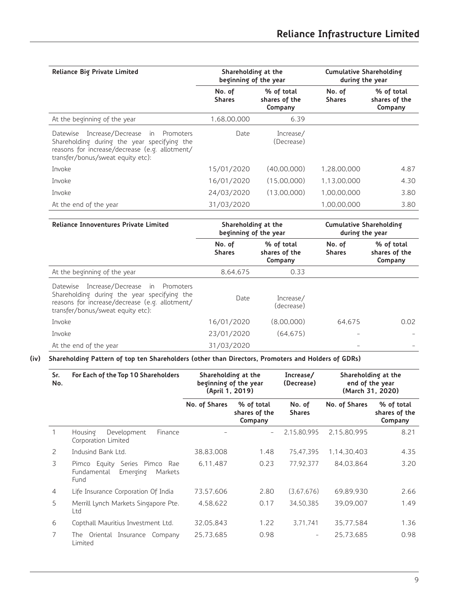| Reliance Big Private Limited                                                                                                                                                     | Shareholding at the<br>beginning of the year |                                        | <b>Cumulative Shareholding</b><br>during the year |                                        |  |
|----------------------------------------------------------------------------------------------------------------------------------------------------------------------------------|----------------------------------------------|----------------------------------------|---------------------------------------------------|----------------------------------------|--|
|                                                                                                                                                                                  | No. of<br><b>Shares</b>                      | % of total<br>shares of the<br>Company | No. of<br><b>Shares</b>                           | % of total<br>shares of the<br>Company |  |
| At the beginning of the year                                                                                                                                                     | 1,68,00,000                                  | 6.39                                   |                                                   |                                        |  |
| Increase/Decrease in Promoters<br>Datewise<br>Shareholding during the year specifying the<br>reasons for increase/decrease (e.g. allotment/<br>transfer/bonus/sweat equity etc): | Date                                         | Increase/<br>(Decrease)                |                                                   |                                        |  |
| Invoke                                                                                                                                                                           | 15/01/2020                                   | (40.00.000)                            | 1.28.00.000                                       | 4.87                                   |  |
| Invoke                                                                                                                                                                           | 16/01/2020                                   | (15.00.000)                            | 1.13.00.000                                       | 4.30                                   |  |
| Invoke                                                                                                                                                                           | 24/03/2020                                   | (13.00.000)                            | 1,00,00,000                                       | 3.80                                   |  |
| At the end of the year                                                                                                                                                           | 31/03/2020                                   |                                        | 1.00.00.000                                       | 3.80                                   |  |

| <b>Reliance Innoventures Private Limited</b>                                                                                                                                     | Shareholding at the<br>beginning of the year |                                        | <b>Cumulative Shareholding</b><br>during the year |                                        |  |
|----------------------------------------------------------------------------------------------------------------------------------------------------------------------------------|----------------------------------------------|----------------------------------------|---------------------------------------------------|----------------------------------------|--|
|                                                                                                                                                                                  | No. of<br><b>Shares</b>                      | % of total<br>shares of the<br>Company | No. of<br><b>Shares</b>                           | % of total<br>shares of the<br>Company |  |
| At the beginning of the year                                                                                                                                                     | 8.64.675                                     | 0.33                                   |                                                   |                                        |  |
| Increase/Decrease in Promoters<br>Datewise<br>Shareholding during the year specifying the<br>reasons for increase/decrease (e.g. allotment/<br>transfer/bonus/sweat equity etc): | Date                                         | Increase/<br>(decrease)                |                                                   |                                        |  |
| Invoke                                                                                                                                                                           | 16/01/2020                                   | (8.00.000)                             | 64.675                                            | 0.02                                   |  |
| Invoke                                                                                                                                                                           | 23/01/2020                                   | (64.675)                               |                                                   |                                        |  |
| At the end of the year                                                                                                                                                           | 31/03/2020                                   |                                        |                                                   |                                        |  |

**(iv) Shareholding Pattern of top ten Shareholders (other than Directors, Promoters and Holders of GDRs)**

| Sr.<br>No.     | For Each of the Top 10 Shareholders                                            | Shareholding at the<br>(April 1, 2019) | beginning of the year                  | Increase/<br>(Decrease) | Shareholding at the<br>end of the year<br>(March 31, 2020) |                                        |  |
|----------------|--------------------------------------------------------------------------------|----------------------------------------|----------------------------------------|-------------------------|------------------------------------------------------------|----------------------------------------|--|
|                |                                                                                | No. of Shares                          | % of total<br>shares of the<br>Company | No. of<br><b>Shares</b> | No. of Shares                                              | % of total<br>shares of the<br>Company |  |
|                | Housing<br>Development<br>Finance<br>Corporation Limited                       |                                        |                                        | 2,15,80,995             | 2,15,80,995                                                | 8.21                                   |  |
| 2              | Indusind Bank Ltd.                                                             | 38,83,008                              | 1.48                                   | 75.47.395               | 1,14,30,403                                                | 4.35                                   |  |
| 3              | Pimco Equity Series Pimco<br>Rae<br>Emerging<br>Fundamental<br>Markets<br>Fund | 6,11,487                               | 0.23                                   | 77.92.377               | 84.03.864                                                  | 3.20                                   |  |
| $\overline{4}$ | Life Insurance Corporation Of India                                            | 73.57.606                              | 2.80                                   | (3.67.676)              | 69.89.930                                                  | 2.66                                   |  |
| 5              | Merrill Lynch Markets Singapore Pte.<br>Ltd                                    | 4,58,622                               | 0.17                                   | 34,50,385               | 39,09,007                                                  | 1.49                                   |  |
| 6              | Copthall Mauritius Investment Ltd.                                             | 32,05,843                              | 1.22                                   | 3.71.741                | 35.77.584                                                  | 1.36                                   |  |
| 7              | The Oriental Insurance<br>Company<br>Limited                                   | 25,73,685                              | 0.98                                   | -                       | 25.73.685                                                  | 0.98                                   |  |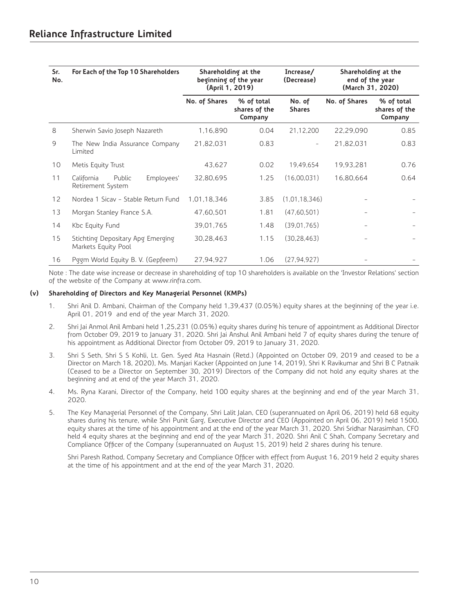| Sr.<br>No.        | For Each of the Top 10 Shareholders                      | Shareholding at the<br>beginning of the year<br>(April 1, 2019) |                                        | Increase/<br>(Decrease)  |               | Shareholding at the<br>end of the year<br>(March 31, 2020) |
|-------------------|----------------------------------------------------------|-----------------------------------------------------------------|----------------------------------------|--------------------------|---------------|------------------------------------------------------------|
|                   |                                                          | No. of Shares                                                   | % of total<br>shares of the<br>Company | No. of<br><b>Shares</b>  | No. of Shares | % of total<br>shares of the<br>Company                     |
| 8                 | Sherwin Savio Joseph Nazareth                            | 1,16,890                                                        | 0.04                                   | 21,12,200                | 22,29,090     | 0.85                                                       |
| 9                 | The New India Assurance Company<br>Limited               | 21,82,031                                                       | 0.83                                   | $\overline{\phantom{0}}$ | 21,82,031     | 0.83                                                       |
| 10                | Metis Equity Trust                                       | 43,627                                                          | 0.02                                   | 19,49,654                | 19,93,281     | 0.76                                                       |
| 11                | Public<br>Employees'<br>California<br>Retirement System  | 32,80,695                                                       | 1.25                                   | (16,00,031)              | 16,80,664     | 0.64                                                       |
| $12 \overline{ }$ | Nordea 1 Sicav - Stable Return Fund                      | 1,01,18,346                                                     | 3.85                                   | (1,01,18,346)            |               |                                                            |
| 13                | Morgan Stanley France S.A.                               | 47,60,501                                                       | 1.81                                   | (47,60,501)              |               |                                                            |
| 14                | Kbc Equity Fund                                          | 39,01,765                                                       | 1.48                                   | (39,01,765)              |               |                                                            |
| 15                | Stichting Depositary Apg Emerging<br>Markets Equity Pool | 30,28,463                                                       | 1.15                                   | (30, 28, 463)            |               |                                                            |
| 16                | Poom World Equity B. V. (Gepfeem)                        | 27,94,927                                                       | 1.06                                   | (27, 94, 927)            |               |                                                            |

Note : The date wise increase or decrease in shareholding of top 10 shareholders is available on the 'Investor Relations' section of the website of the Company at www.rinfra.com.

#### **(v) Shareholding of Directors and Key Managerial Personnel (KMPs)**

- 1. Shri Anil D. Ambani, Chairman of the Company held 1,39,437 (0.05%) equity shares at the beginning of the year i.e. April 01, 2019 and end of the year March 31, 2020.
- 2. Shri Jai Anmol Anil Ambani held 1,25,231 (0.05%) equity shares during his tenure of appointment as Additional Director from October 09, 2019 to January 31, 2020. Shri Jai Anshul Anil Ambani held 7 of equity shares during the tenure of his appointment as Additional Director from October 09, 2019 to January 31, 2020.
- 3. Shri S Seth, Shri S S Kohli, Lt. Gen. Syed Ata Hasnain (Retd.) (Appointed on October 09, 2019 and ceased to be a Director on March 18, 2020), Ms. Manjari Kacker (Appointed on June 14, 2019), Shri K Ravikumar and Shri B C Patnaik (Ceased to be a Director on September 30, 2019) Directors of the Company did not hold any equity shares at the beginning and at end of the year March 31, 2020.
- 4. Ms. Ryna Karani, Director of the Company, held 100 equity shares at the beginning and end of the year March 31, 2020.
- 5. The Key Managerial Personnel of the Company, Shri Lalit Jalan, CEO (superannuated on April 06, 2019) held 68 equity shares during his tenure, while Shri Punit Garg, Executive Director and CEO (Appointed on April 06, 2019) held 1500, equity shares at the time of his appointment and at the end of the year March 31, 2020. Shri Sridhar Narasimhan, CFO held 4 equity shares at the beginning and end of the year March 31, 2020. Shri Anil C Shah, Company Secretary and Compliance Officer of the Company (superannuated on August 15, 2019) held 2 shares during his tenure.

 Shri Paresh Rathod, Company Secretary and Compliance Officer with effect from August 16, 2019 held 2 equity shares at the time of his appointment and at the end of the year March 31, 2020.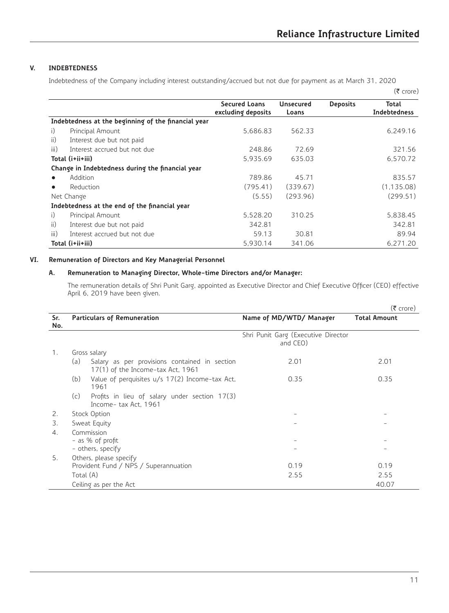# **V. INDEBTEDNESS**

Indebtedness of the Company including interest outstanding/accrued but not due for payment as at March 31, 2020

|           |                                                     |                                            |                           |                 | $(5$ crore)           |
|-----------|-----------------------------------------------------|--------------------------------------------|---------------------------|-----------------|-----------------------|
|           |                                                     | <b>Secured Loans</b><br>excluding deposits | <b>Unsecured</b><br>Loans | <b>Deposits</b> | Total<br>Indebtedness |
|           | Indebtedness at the beginning of the financial year |                                            |                           |                 |                       |
| i)        | Principal Amount                                    | 5.686.83                                   | 562.33                    |                 | 6.249.16              |
| ii)       | Interest due but not paid                           |                                            |                           |                 |                       |
| iii)      | Interest accrued but not due                        | 248.86                                     | 72.69                     |                 | 321.56                |
|           | Total (i+ii+iii)                                    | 5,935.69                                   | 635.03                    |                 | 6.570.72              |
|           | Change in Indebtedness during the financial year    |                                            |                           |                 |                       |
|           | Addition                                            | 789.86                                     | 45.71                     |                 | 835.57                |
| $\bullet$ | Reduction                                           | (795.41)                                   | (339.67)                  |                 | (1, 135.08)           |
|           | Net Change                                          | (5.55)                                     | (293.96)                  |                 | (299.51)              |
|           | Indebtedness at the end of the financial year       |                                            |                           |                 |                       |
| i)        | Principal Amount                                    | 5,528,20                                   | 310.25                    |                 | 5,838.45              |
| ii)       | Interest due but not paid                           | 342.81                                     |                           |                 | 342.81                |
| iii)      | Interest accrued but not due                        | 59.13                                      | 30.81                     |                 | 89.94                 |
|           | Total (i+ii+iii)                                    | 5,930.14                                   | 341.06                    |                 | 6.271.20              |

# **VI. Remuneration of Directors and Key Managerial Personnel**

# **A. Remuneration to Managing Director, Whole-time Directors and/or Manager:**

 The remuneration details of Shri Punit Garg, appointed as Executive Director and Chief Executive Officer (CEO) effective April 6, 2019 have been given.

|     |           |                                                                                      |                                                 | (₹ crore)           |
|-----|-----------|--------------------------------------------------------------------------------------|-------------------------------------------------|---------------------|
| Sr. |           | <b>Particulars of Remuneration</b>                                                   | Name of MD/WTD/ Manager                         | <b>Total Amount</b> |
| No. |           |                                                                                      |                                                 |                     |
|     |           |                                                                                      | Shri Punit Garg (Executive Director<br>and CEO) |                     |
| 1.  |           | Gross salary                                                                         |                                                 |                     |
|     | (a)       | Salary as per provisions contained in section<br>$17(1)$ of the Income-tax Act, 1961 | 2.01                                            | 2.01                |
|     | (b)       | Value of perquisites u/s 17(2) Income-tax Act,<br>1961                               | 0.35                                            | 0.35                |
|     | (c)       | Profits in lieu of salary under section $17(3)$<br>Income-tax Act, 1961              |                                                 |                     |
| 2.  |           | Stock Option                                                                         |                                                 |                     |
| 3.  |           | Sweat Equity                                                                         |                                                 |                     |
| 4.  |           | Commission                                                                           |                                                 |                     |
|     |           | - as % of profit                                                                     |                                                 |                     |
|     |           | - others, specify                                                                    |                                                 |                     |
| 5.  |           | Others, please specify                                                               |                                                 |                     |
|     |           | Provident Fund / NPS / Superannuation                                                | 0.19                                            | 0.19                |
|     | Total (A) |                                                                                      | 2.55                                            | 2.55                |
|     |           | Ceiling as per the Act                                                               |                                                 | 40.07               |